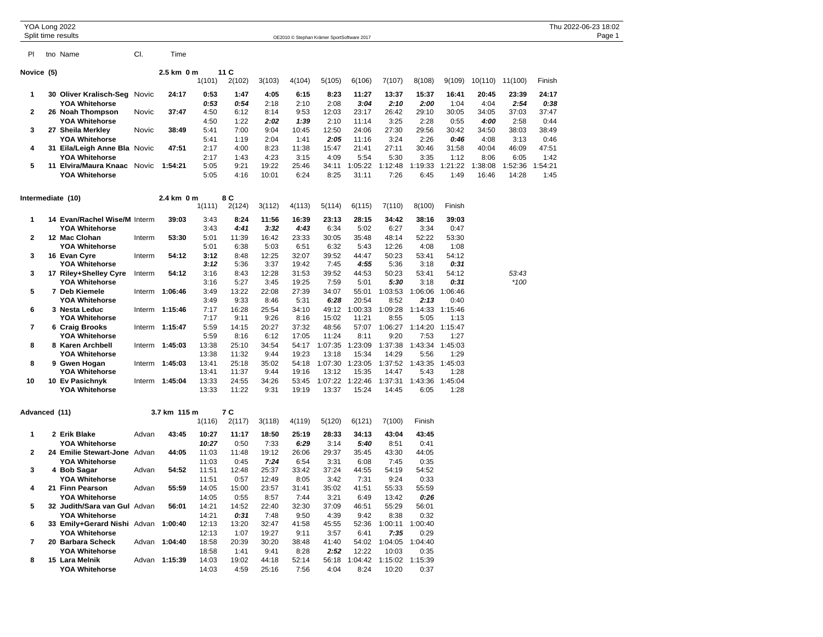| YOA Long 2022     |                                                              |        |                |                |               |               |                                            |                |                 |                               |                 |                 |               |                 |               | Thu 2022-06-23 18:02 |
|-------------------|--------------------------------------------------------------|--------|----------------|----------------|---------------|---------------|--------------------------------------------|----------------|-----------------|-------------------------------|-----------------|-----------------|---------------|-----------------|---------------|----------------------|
|                   | Split time results                                           |        |                |                |               |               | OE2010 © Stephan Krämer SportSoftware 2017 |                |                 |                               |                 |                 |               |                 |               | Page 1               |
| PI                | tno Name                                                     | CI.    | Time           |                |               |               |                                            |                |                 |                               |                 |                 |               |                 |               |                      |
| Novice (5)        |                                                              |        | 2.5 km 0 m     |                | 11C           |               |                                            |                |                 |                               |                 |                 |               |                 |               |                      |
|                   |                                                              |        |                | 1(101)         | 2(102)        | 3(103)        | 4(104)                                     | 5(105)         | 6(106)          | 7(107)                        | 8(108)          | 9(109)          |               | 10(110) 11(100) | Finish        |                      |
|                   |                                                              |        |                |                |               |               |                                            |                |                 |                               |                 |                 |               |                 |               |                      |
| -1                | 30 Oliver Kralisch-Seg<br><b>YOA Whitehorse</b>              | Novic  | 24:17          | 0:53<br>0:53   | 1:47<br>0:54  | 4:05<br>2:18  | 6:15<br>2:10                               | 8:23<br>2:08   | 11:27<br>3:04   | 13:37<br>2:10                 | 15:37<br>2:00   | 16:41<br>1:04   | 20:45<br>4:04 | 23:39<br>2:54   | 24:17<br>0:38 |                      |
| 2                 | 26 Noah Thompson                                             | Novic  | 37:47          | 4:50           | 6:12          | 8:14          | 9:53                                       | 12:03          | 23:17           | 26:42                         | 29:10           | 30:05           | 34:05         | 37:03           | 37:47         |                      |
|                   | <b>YOA Whitehorse</b>                                        |        |                | 4:50           | 1:22          | 2:02          | 1:39                                       | 2:10           | 11:14           | 3:25                          | 2:28            | 0:55            | 4:00          | 2:58            | 0:44          |                      |
| 3                 | 27 Sheila Merkley                                            | Novic  | 38:49          | 5:41           | 7:00          | 9:04          | 10:45                                      | 12:50          | 24:06           | 27:30                         | 29:56           | 30:42           | 34:50         | 38:03           | 38:49         |                      |
|                   | <b>YOA Whitehorse</b>                                        |        |                | 5:41           | 1:19          | 2:04          | 1:41                                       | 2:05           | 11:16           | 3:24                          | 2:26            | 0:46            | 4:08          | 3:13            | 0:46          |                      |
| 4                 | 31 Eila/Leigh Anne Bla Novic                                 |        | 47:51          | 2:17           | 4:00          | 8:23          | 11:38                                      | 15:47          | 21:41           | 27:11                         | 30:46           | 31:58           | 40:04         | 46:09           | 47:51         |                      |
|                   | <b>YOA Whitehorse</b>                                        |        |                | 2:17           | 1:43          | 4:23          | 3:15                                       | 4:09           | 5:54            | 5:30                          | 3:35            | 1:12            | 8:06          | 6:05            | 1:42          |                      |
| 5                 | 11 Elvira/Maura Knaac Novic                                  |        | 1:54:21        | 5:05           | 9:21          | 19:22         | 25:46                                      | 34:11          | 1:05:22         | 1:12:48                       | 1:19:33         | :21:22<br>1     | 1:38:08       | 1:52:36         | 1:54:21       |                      |
|                   | <b>YOA Whitehorse</b>                                        |        |                | 5:05           | 4:16          | 10:01         | 6:24                                       | 8:25           | 31:11           | 7:26                          | 6:45            | 1:49            | 16:46         | 14:28           | 1:45          |                      |
| Intermediate (10) |                                                              |        | 2.4 km 0 m     |                | 8 C           |               |                                            |                |                 |                               |                 |                 |               |                 |               |                      |
|                   |                                                              |        |                | 1(111)         | 2(124)        | 3(112)        | 4(113)                                     | 5(114)         | 6(115)          | 7(110)                        | 8(100)          | Finish          |               |                 |               |                      |
| 1                 | 14 Evan/Rachel Wise/M Interm                                 |        | 39:03          | 3:43           | 8:24          | 11:56         | 16:39                                      | 23:13          | 28:15           | 34:42                         | 38:16           | 39:03           |               |                 |               |                      |
|                   | <b>YOA Whitehorse</b>                                        |        |                | 3:43           | 4:41          | 3:32          | 4:43                                       | 6:34           | 5:02            | 6:27                          | 3:34            | 0:47            |               |                 |               |                      |
| $\mathbf{2}$      | 12 Mac Clohan                                                | Interm | 53:30          | 5:01           | 11:39         | 16:42         | 23:33                                      | 30:05          | 35:48           | 48:14                         | 52:22           | 53:30           |               |                 |               |                      |
| 3                 | <b>YOA Whitehorse</b>                                        |        | 54:12          | 5:01<br>3:12   | 6:38<br>8:48  | 5:03          | 6:51                                       | 6:32           | 5:43<br>44:47   | 12:26<br>50:23                | 4:08<br>53:41   | 1:08            |               |                 |               |                      |
|                   | 16 Evan Cyre<br><b>YOA Whitehorse</b>                        | Interm |                | 3:12           | 5:36          | 12:25<br>3:37 | 32:07<br>19:42                             | 39:52<br>7:45  | 4:55            | 5:36                          | 3:18            | 54:12<br>0:31   |               |                 |               |                      |
| 3                 | 17 Riley+Shelley Cyre                                        | Interm | 54:12          | 3:16           | 8:43          | 12:28         | 31:53                                      | 39:52          | 44:53           | 50:23                         | 53:41           | 54:12           |               | 53:43           |               |                      |
|                   | <b>YOA Whitehorse</b>                                        |        |                | 3:16           | 5:27          | 3:45          | 19:25                                      | 7:59           | 5:01            | 5:30                          | 3:18            | 0:31            |               | $*100$          |               |                      |
| 5                 | 7 Deb Kiemele                                                |        | Interm 1:06:46 | 3:49           | 13:22         | 22:08         | 27:39                                      | 34:07          | 55:01           | 1:03:53                       | 1:06:06         | 1:06:46         |               |                 |               |                      |
|                   | <b>YOA Whitehorse</b>                                        |        |                | 3:49           | 9:33          | 8:46          | 5:31                                       | 6:28           | 20:54           | 8:52                          | 2:13            | 0:40            |               |                 |               |                      |
| 6                 | 3 Nesta Leduc<br><b>YOA Whitehorse</b>                       |        | Interm 1:15:46 | 7:17<br>7:17   | 16:28<br>9:11 | 25:54<br>9:26 | 34:10<br>8:16                              | 49:12<br>15:02 | :00:33<br>11:21 | 1:09:28<br>8:55               | 1:14:33<br>5:05 | 1:15:46<br>1:13 |               |                 |               |                      |
| 7                 | 6 Craig Brooks                                               |        | Interm 1:15:47 | 5:59           | 14:15         | 20:27         | 37:32                                      | 48:56          | 57:07           | 1:06:27                       | 1:14:20         | 1:15:47         |               |                 |               |                      |
|                   | <b>YOA Whitehorse</b>                                        |        |                | 5:59           | 8:16          | 6:12          | 17:05                                      | 11:24          | 8:11            | 9:20                          | 7:53            | 1:27            |               |                 |               |                      |
| 8                 | 8 Karen Archbell                                             |        | Interm 1:45:03 | 13:38          | 25:10         | 34:54         | 54:17                                      | 1:07:35        | 1:23:09         | 1:37:38                       | 1:43:34         | 1:45:03         |               |                 |               |                      |
|                   | <b>YOA Whitehorse</b>                                        |        |                | 13:38          | 11:32         | 9:44          | 19:23                                      | 13:18          | 15:34           | 14:29                         | 5:56            | 1:29            |               |                 |               |                      |
| 8                 | 9 Gwen Hogan                                                 |        | Interm 1:45:03 | 13:41          | 25:18         | 35:02         | 54:18                                      | 1:07:30        | 1:23:05         | 1:37:52                       | 1:43:35         | 1:45:03         |               |                 |               |                      |
|                   | <b>YOA Whitehorse</b>                                        |        |                | 13:41          | 11:37         | 9:44          | 19:16                                      | 13:12          | 15:35           | 14:47                         | 5:43            | 1:28            |               |                 |               |                      |
| 10                | 10 Ev Pasichnyk                                              |        | Interm 1:45:04 | 13:33          | 24:55         | 34:26         | 53:45                                      | 1:07:22        | 1:22:46         | 1:37:31                       | 1:43:36         | 1:45:04         |               |                 |               |                      |
|                   | <b>YOA Whitehorse</b>                                        |        |                | 13:33          | 11:22         | 9:31          | 19:19                                      | 13:37          | 15:24           | 14:45                         | 6:05            | 1:28            |               |                 |               |                      |
| Advanced (11)     |                                                              |        | 3.7 km 115 m   |                | 7 C           |               |                                            |                |                 |                               |                 |                 |               |                 |               |                      |
|                   |                                                              |        |                | 1(116)         | 2(117)        | 3(118)        | 4(119)                                     | 5(120)         | 6(121)          | 7(100)                        | Finish          |                 |               |                 |               |                      |
| 1                 | 2 Erik Blake                                                 | Advan  | 43:45          | 10:27          | 11:17         | 18:50         | 25:19                                      | 28:33          | 34:13           | 43:04                         | 43:45           |                 |               |                 |               |                      |
|                   | <b>YOA Whitehorse</b>                                        |        |                | 10:27          | 0:50          | 7:33          | 6:29                                       | 3:14           | 5:40            | 8:51                          | 0:41            |                 |               |                 |               |                      |
| 2                 | 24 Emilie Stewart-Jone                                       | Advan  | 44:05          | 11:03          | 11:48         | 19:12         | 26:06                                      | 29:37          | 35:45           | 43:30                         | 44:05           |                 |               |                 |               |                      |
|                   | <b>YOA Whitehorse</b>                                        |        |                | 11:03          | 0:45          | 7:24          | 6:54                                       | 3:31           | 6:08            | 7:45                          | 0:35            |                 |               |                 |               |                      |
| 3                 | 4 Bob Sagar                                                  | Advan  | 54:52          | 11:51          | 12:48         | 25:37         | 33:42                                      | 37:24          | 44:55           | 54:19                         | 54:52           |                 |               |                 |               |                      |
|                   | <b>YOA Whitehorse</b>                                        |        |                | 11:51          | 0:57          | 12:49         | 8:05                                       | 3:42           | 7:31            | 9:24                          | 0:33            |                 |               |                 |               |                      |
| 4                 | 21 Finn Pearson                                              | Advan  | 55:59          | 14:05          | 15:00         | 23:57         | 31:41                                      | 35:02          | 41:51           | 55:33                         | 55:59           |                 |               |                 |               |                      |
|                   | <b>YOA Whitehorse</b>                                        |        |                | 14:05          | 0:55          | 8:57          | 7:44                                       | 3:21           | 6:49            | 13:42                         | 0:26            |                 |               |                 |               |                      |
| 5                 | 32 Judith/Sara van Gul Advan                                 |        | 56:01          | 14:21          | 14:52         | 22:40         | 32:30                                      | 37:09          | 46:51           | 55:29                         | 56:01           |                 |               |                 |               |                      |
| 6                 | <b>YOA Whitehorse</b><br>33 Emily+Gerard Nishi Advan 1:00:40 |        |                | 14:21<br>12:13 | 0:31<br>13:20 | 7:48<br>32:47 | 9:50<br>41:58                              | 4:39<br>45:55  | 9:42<br>52:36   | 8:38<br>1:00:11 1:00:40       | 0:32            |                 |               |                 |               |                      |
|                   | <b>YOA Whitehorse</b>                                        |        |                | 12:13          | 1:07          | 19:27         | 9:11                                       | 3:57           | 6:41            | 7:35                          | 0:29            |                 |               |                 |               |                      |
| 7                 | 20 Barbara Scheck                                            |        | Advan 1:04:40  | 18:58          | 20:39         | 30:20         | 38:48                                      | 41:40          |                 | 54:02 1:04:05                 | 1:04:40         |                 |               |                 |               |                      |
|                   | <b>YOA Whitehorse</b>                                        |        |                | 18:58          | 1:41          | 9:41          | 8:28                                       | 2:52           | 12:22           | 10:03                         | 0:35            |                 |               |                 |               |                      |
| 8                 | 15 Lara Melnik                                               |        | Advan 1:15:39  | 14:03          | 19:02         | 44:18         | 52:14                                      |                |                 | 56:18 1:04:42 1:15:02 1:15:39 |                 |                 |               |                 |               |                      |
|                   | <b>YOA Whitehorse</b>                                        |        |                | 14:03          | 4:59          | 25:16         | 7:56                                       | 4:04           | 8:24            | 10:20                         | 0:37            |                 |               |                 |               |                      |
|                   |                                                              |        |                |                |               |               |                                            |                |                 |                               |                 |                 |               |                 |               |                      |